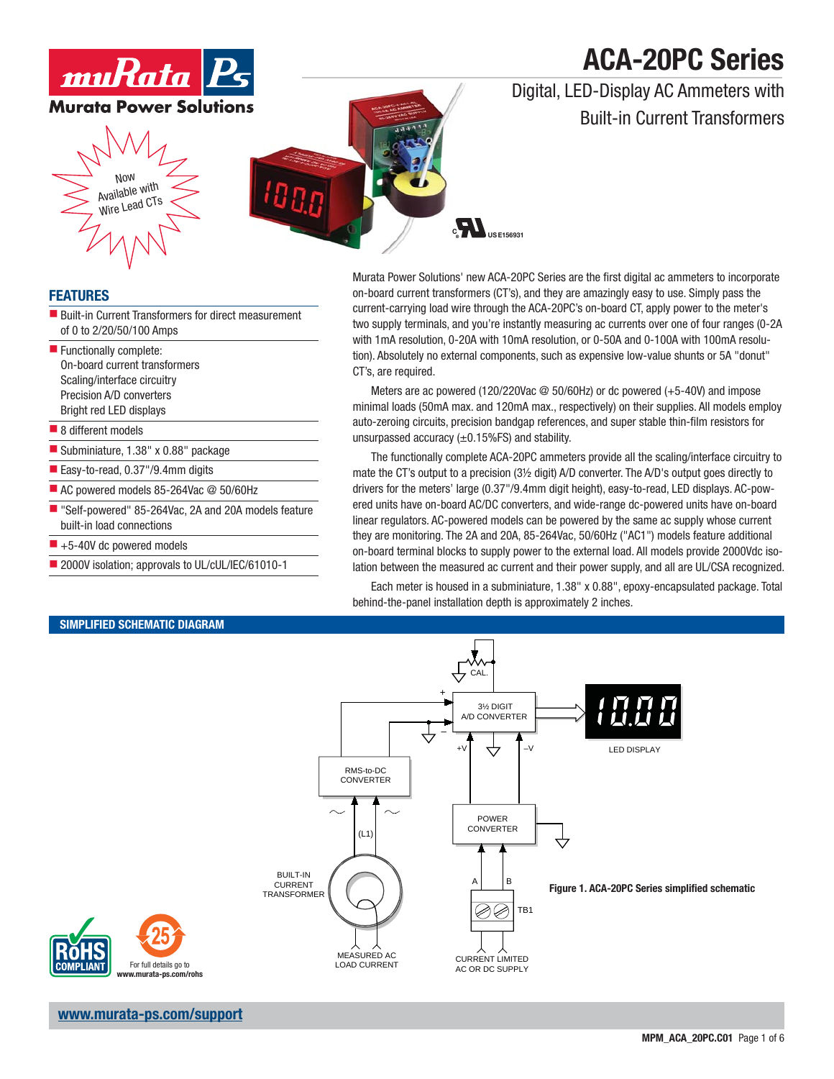# **ACA-20PC Series**

## Digital, LED-Display AC Ammeters with Built-in Current Transformers



## **FEATURES**

- Built-in Current Transformers for direct measurement of 0 to 2/20/50/100 Amps
- **Functionally complete:** On-board current transformers Scaling/interface circuitry Precision A/D converters Bright red LED displays

### ■ 8 different models

- Subminiature, 1.38" x 0.88" package
- Easy-to-read, 0.37"/9.4mm digits
- AC powered models 85-264Vac @ 50/60Hz

**SIMPLIFIED SCHEMATIC DIAGRAM**

- Self-powered" 85-264Vac, 2A and 20A models feature built-in load connections
- $\blacksquare$  +5-40V dc powered models
- 2000V isolation; approvals to UL/cUL/IEC/61010-1

### Murata Power Solutions' new ACA-20PC Series are the first digital ac ammeters to incorporate on-board current transformers (CT's), and they are amazingly easy to use. Simply pass the current-carrying load wire through the ACA-20PC's on-board CT, apply power to the meter's two supply terminals, and you're instantly measuring ac currents over one of four ranges (0-2A with 1mA resolution, 0-20A with 10mA resolution, or 0-50A and 0-100A with 100mA resolution). Absolutely no external components, such as expensive low-value shunts or 5A "donut" CT's, are required.

Meters are ac powered (120/220Vac @ 50/60Hz) or dc powered (+5-40V) and impose minimal loads (50mA max. and 120mA max., respectively) on their supplies. All models employ auto-zeroing circuits, precision bandgap references, and super stable thin-film resistors for unsurpassed accuracy  $(\pm 0.15\sqrt{FS})$  and stability.

The functionally complete ACA-20PC ammeters provide all the scaling/interface circuitry to mate the CT's output to a precision (3½ digit) A/D converter. The A/D's output goes directly to drivers for the meters' large (0.37"/9.4mm digit height), easy-to-read, LED displays. AC-powered units have on-board AC/DC converters, and wide-range dc-powered units have on-board linear regulators. AC-powered models can be powered by the same ac supply whose current they are monitoring. The 2A and 20A, 85-264Vac, 50/60Hz ("AC1") models feature additional on-board terminal blocks to supply power to the external load. All models provide 2000Vdc isolation between the measured ac current and their power supply, and all are UL/CSA recognized.

Each meter is housed in a subminiature, 1.38" x 0.88", epoxy-encapsulated package. Total behind-the-panel installation depth is approximately 2 inches.



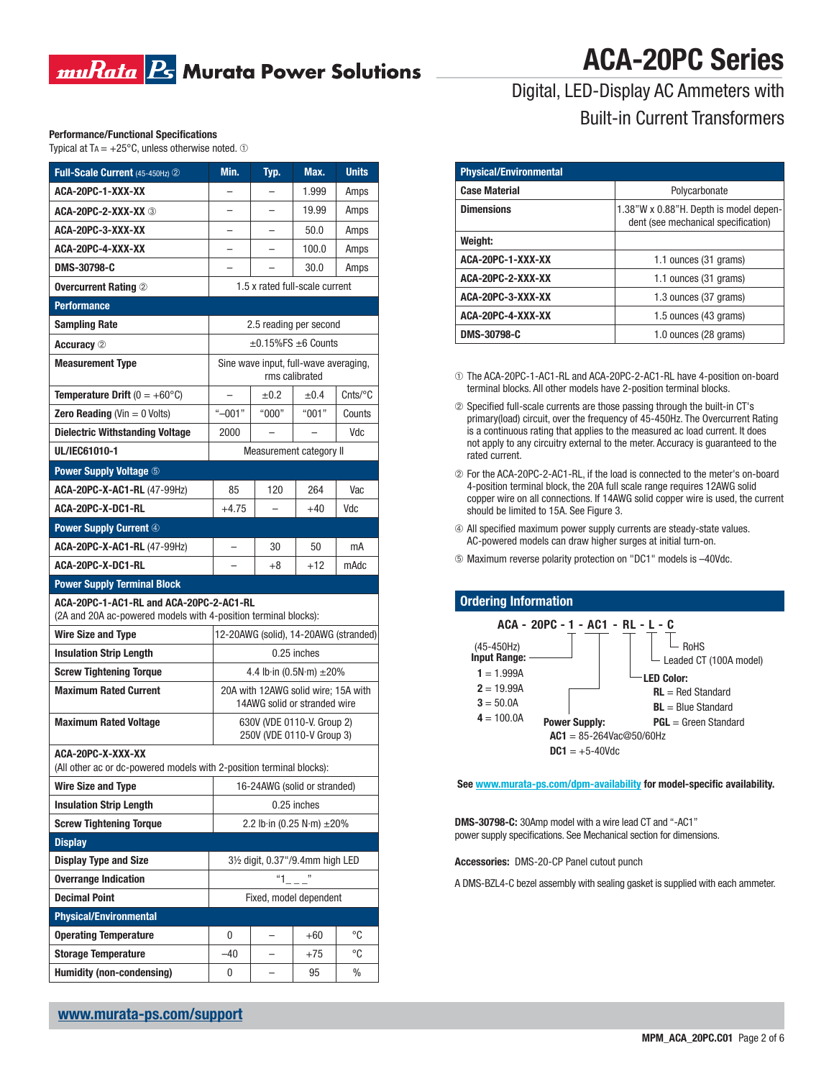## muRata B Murata Power Solutions

# **ACA-20PC Series**

## **Performance/Functional Specifications**

| Typical at T $A = +25^{\circ}$ C, unless otherwise noted. $\circled$ |
|----------------------------------------------------------------------|
|----------------------------------------------------------------------|

| Full-Scale Current (45-450Hz) 2                                                                            | Min.                                                                | Typ.                             | Max.        | <b>Units</b> |  |
|------------------------------------------------------------------------------------------------------------|---------------------------------------------------------------------|----------------------------------|-------------|--------------|--|
| ACA-20PC-1-XXX-XX                                                                                          |                                                                     |                                  | 1.999       | Amps         |  |
| ACA-20PC-2-XXX-XX 3                                                                                        |                                                                     |                                  | 19.99       | Amps         |  |
| ACA-20PC-3-XXX-XX                                                                                          |                                                                     |                                  | 50.0        | Amps         |  |
| ACA-20PC-4-XXX-XX                                                                                          |                                                                     |                                  | 100.0       | Amps         |  |
| DMS-30798-C                                                                                                |                                                                     |                                  | 30.0        | Amps         |  |
| <b>Overcurrent Rating 2</b>                                                                                | 1.5 x rated full-scale current                                      |                                  |             |              |  |
| <b>Performance</b>                                                                                         |                                                                     |                                  |             |              |  |
| <b>Sampling Rate</b>                                                                                       | 2.5 reading per second                                              |                                  |             |              |  |
| <b>Accuracy</b> 2                                                                                          | $\pm$ 0.15%FS $\pm$ 6 Counts                                        |                                  |             |              |  |
| <b>Measurement Type</b>                                                                                    | Sine wave input, full-wave averaging,<br>rms calibrated             |                                  |             |              |  |
| <b>Temperature Drift</b> $(0 = +60^{\circ}C)$                                                              |                                                                     | $\pm 0.2$                        | ±0.4        | $C$ nts/°C   |  |
| <b>Zero Reading (Vin = 0 Volts)</b>                                                                        | " $-001"$                                                           | "000"                            | "001"       | Counts       |  |
| <b>Dielectric Withstanding Voltage</b>                                                                     | 2000                                                                |                                  |             | Vdc          |  |
| UL/IEC61010-1                                                                                              | Measurement category II                                             |                                  |             |              |  |
| <b>Power Supply Voltage 5</b>                                                                              |                                                                     |                                  |             |              |  |
| ACA-20PC-X-AC1-RL (47-99Hz)                                                                                | 85                                                                  | 120                              | 264         | Vac          |  |
| ACA-20PC-X-DC1-RL                                                                                          | $+4.75$                                                             |                                  | +40         | Vdc          |  |
| <b>Power Supply Current 4</b>                                                                              |                                                                     |                                  |             |              |  |
| ACA-20PC-X-AC1-RL (47-99Hz)                                                                                | $\overline{\phantom{0}}$                                            | 30                               | 50          | mA           |  |
| ACA-20PC-X-DC1-RL                                                                                          |                                                                     | $+8$                             | $+12$       | mAdc         |  |
| <b>Power Supply Terminal Block</b>                                                                         |                                                                     |                                  |             |              |  |
| ACA-20PC-1-AC1-RL and ACA-20PC-2-AC1-RL<br>(2A and 20A ac-powered models with 4-position terminal blocks): |                                                                     |                                  |             |              |  |
| <b>Wire Size and Type</b>                                                                                  | 12-20AWG (solid), 14-20AWG (stranded)                               |                                  |             |              |  |
| <b>Insulation Strip Length</b>                                                                             |                                                                     |                                  | 0.25 inches |              |  |
| <b>Screw Tightening Torque</b>                                                                             | 4.4 lb in $(0.5N \cdot m) \pm 20\%$                                 |                                  |             |              |  |
| <b>Maximum Rated Current</b>                                                                               | 20A with 12AWG solid wire; 15A with<br>14AWG solid or stranded wire |                                  |             |              |  |
| <b>Maximum Rated Voltage</b>                                                                               | 630V (VDE 0110-V. Group 2)<br>250V (VDE 0110-V Group 3)             |                                  |             |              |  |
| ACA-20PC-X-XXX-XX<br>(All other ac or dc-powered models with 2-position terminal blocks):                  |                                                                     |                                  |             |              |  |
| <b>Wire Size and Type</b>                                                                                  | 16-24AWG (solid or stranded)                                        |                                  |             |              |  |
| <b>Insulation Strip Length</b>                                                                             | 0.25 inches                                                         |                                  |             |              |  |
| <b>Screw Tightening Torque</b>                                                                             | 2.2 lb·in (0.25 N·m) ±20%                                           |                                  |             |              |  |
| <b>Display</b>                                                                                             |                                                                     |                                  |             |              |  |
| <b>Display Type and Size</b>                                                                               |                                                                     | 31/2 digit, 0.37"/9.4mm high LED |             |              |  |
| <b>Overrange Indication</b>                                                                                | "1                                                                  |                                  |             |              |  |
| <b>Decimal Point</b>                                                                                       | Fixed, model dependent                                              |                                  |             |              |  |
| <b>Physical/Environmental</b>                                                                              |                                                                     |                                  |             |              |  |
| <b>Operating Temperature</b>                                                                               | 0                                                                   |                                  | $+60$       | °C           |  |
| <b>Storage Temperature</b>                                                                                 | $-40$                                                               |                                  | $+75$       | $^{\circ}C$  |  |
| <b>Humidity (non-condensing)</b>                                                                           | 0                                                                   |                                  | 95          | %            |  |

## Digital, LED-Display AC Ammeters with Built-in Current Transformers

| <b>Physical/Environmental</b> |                                                                               |  |  |
|-------------------------------|-------------------------------------------------------------------------------|--|--|
| <b>Case Material</b>          | Polycarbonate                                                                 |  |  |
| <b>Dimensions</b>             | 1.38"W x 0.88"H. Depth is model depen-<br>dent (see mechanical specification) |  |  |
| Weight:                       |                                                                               |  |  |
| ACA-20PC-1-XXX-XX             | 1.1 ounces (31 grams)                                                         |  |  |
| ACA-20PC-2-XXX-XX             | 1.1 ounces (31 grams)                                                         |  |  |
| ACA-20PC-3-XXX-XX             | 1.3 ounces (37 grams)                                                         |  |  |
| ACA-20PC-4-XXX-XX             | 1.5 ounces (43 grams)                                                         |  |  |
| DMS-30798-C                   | 1.0 ounces (28 grams)                                                         |  |  |

➀ The ACA-20PC-1-AC1-RL and ACA-20PC-2-AC1-RL have 4-position on-board terminal blocks. All other models have 2-position terminal blocks.

- ➁ Specifi ed full-scale currents are those passing through the built-in CT's primary(load) circuit, over the frequency of 45-450Hz. The Overcurrent Rating is a continuous rating that applies to the measured ac load current. It does not apply to any circuitry external to the meter. Accuracy is guaranteed to the rated current.
- ➁ For the ACA-20PC-2-AC1-RL, if the load is connected to the meter's on-board 4-position terminal block, the 20A full scale range requires 12AWG solid copper wire on all connections. If 14AWG solid copper wire is used, the current should be limited to 15A. See Figure 3.
- $\circledA$  All specified maximum power supply currents are steady-state values. AC-powered models can draw higher surges at initial turn-on.
- ➄ Maximum reverse polarity protection on "DC1" models is –40Vdc.

### **Ordering Information**



### See www.murata-ps.com/dpm-availability for model-specific availability.

**DMS-30798-C:** 30Amp model with a wire lead CT and "-AC1" power supply specifications. See Mechanical section for dimensions.

**Accessories:** DMS-20-CP Panel cutout punch

A DMS-BZL4-C bezel assembly with sealing gasket is supplied with each ammeter.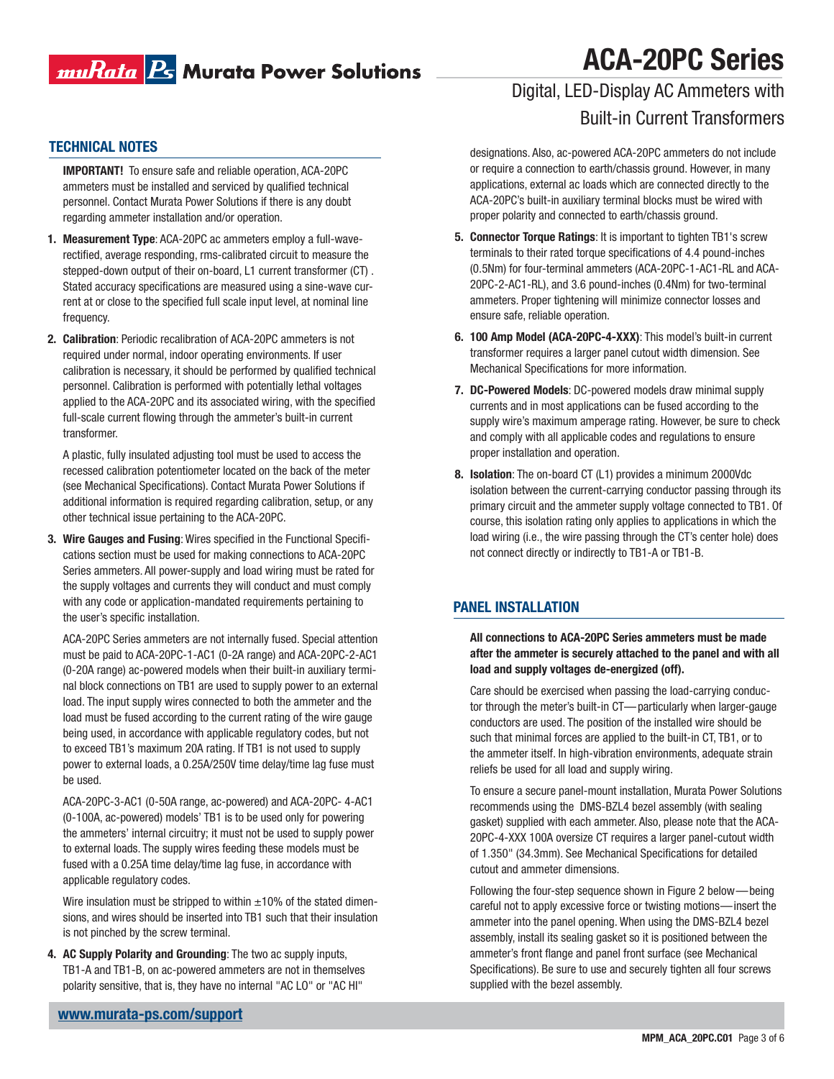# 

# **ACA-20PC Series**

## Digital, LED-Display AC Ammeters with Built-in Current Transformers

**IMPORTANT!** To ensure safe and reliable operation, ACA-20PC ammeters must be installed and serviced by qualified technical personnel. Contact Murata Power Solutions if there is any doubt regarding ammeter installation and/or operation.

- **1. Measurement Type**: ACA-20PC ac ammeters employ a full-waverectified, average responding, rms-calibrated circuit to measure the stepped-down output of their on-board, L1 current transformer (CT) . Stated accuracy specifications are measured using a sine-wave current at or close to the specified full scale input level, at nominal line frequency.
- **2. Calibration**: Periodic recalibration of ACA-20PC ammeters is not required under normal, indoor operating environments. If user calibration is necessary, it should be performed by qualified technical personnel. Calibration is performed with potentially lethal voltages applied to the ACA-20PC and its associated wiring, with the specified full-scale current flowing through the ammeter's built-in current transformer.

 A plastic, fully insulated adjusting tool must be used to access the recessed calibration potentiometer located on the back of the meter (see Mechanical Specifications). Contact Murata Power Solutions if additional information is required regarding calibration, setup, or any other technical issue pertaining to the ACA-20PC.

**3. Wire Gauges and Fusing: Wires specified in the Functional Specifi**cations section must be used for making connections to ACA-20PC Series ammeters. All power-supply and load wiring must be rated for the supply voltages and currents they will conduct and must comply with any code or application-mandated requirements pertaining to the user's specific installation.

 ACA-20PC Series ammeters are not internally fused. Special attention must be paid to ACA-20PC-1-AC1 (0-2A range) and ACA-20PC-2-AC1 (0-20A range) ac-powered models when their built-in auxiliary terminal block connections on TB1 are used to supply power to an external load. The input supply wires connected to both the ammeter and the load must be fused according to the current rating of the wire gauge being used, in accordance with applicable regulatory codes, but not to exceed TB1's maximum 20A rating. If TB1 is not used to supply power to external loads, a 0.25A/250V time delay/time lag fuse must be used.

 ACA-20PC-3-AC1 (0-50A range, ac-powered) and ACA-20PC- 4-AC1 (0-100A, ac-powered) models' TB1 is to be used only for powering the ammeters' internal circuitry; it must not be used to supply power to external loads. The supply wires feeding these models must be fused with a 0.25A time delay/time lag fuse, in accordance with applicable regulatory codes.

Wire insulation must be stripped to within  $\pm 10\%$  of the stated dimensions, and wires should be inserted into TB1 such that their insulation is not pinched by the screw terminal.

**4. AC Supply Polarity and Grounding**: The two ac supply inputs, TB1-A and TB1-B, on ac-powered ammeters are not in themselves polarity sensitive, that is, they have no internal "AC LO" or "AC HI"

**TECHNICAL NOTES**<br>
designations. Also, ac-powered ACA-20PC ammeters do not include or require a connection to earth/chassis ground. However, in many applications, external ac loads which are connected directly to the ACA-20PC's built-in auxiliary terminal blocks must be wired with proper polarity and connected to earth/chassis ground.

- **5. Connector Torque Ratings**: It is important to tighten TB1's screw terminals to their rated torque specifications of 4.4 pound-inches (0.5Nm) for four-terminal ammeters (ACA-20PC-1-AC1-RL and ACA-20PC-2-AC1-RL), and 3.6 pound-inches (0.4Nm) for two-terminal ammeters. Proper tightening will minimize connector losses and ensure safe, reliable operation.
- **6. 100 Amp Model (ACA-20PC-4-XXX)**: This model's built-in current transformer requires a larger panel cutout width dimension. See Mechanical Specifications for more information.
- **7. DC-Powered Models**: DC-powered models draw minimal supply currents and in most applications can be fused according to the supply wire's maximum amperage rating. However, be sure to check and comply with all applicable codes and regulations to ensure proper installation and operation.
- **8. Isolation**: The on-board CT (L1) provides a minimum 2000Vdc isolation between the current-carrying conductor passing through its primary circuit and the ammeter supply voltage connected to TB1. Of course, this isolation rating only applies to applications in which the load wiring (i.e., the wire passing through the CT's center hole) does not connect directly or indirectly to TB1-A or TB1-B.

## **PANEL INSTALLATION**

**All connections to ACA-20PC Series ammeters must be made after the ammeter is securely attached to the panel and with all load and supply voltages de-energized (off).**

Care should be exercised when passing the load-carrying conductor through the meter's built-in CT—particularly when larger-gauge conductors are used. The position of the installed wire should be such that minimal forces are applied to the built-in CT, TB1, or to the ammeter itself. In high-vibration environments, adequate strain reliefs be used for all load and supply wiring.

To ensure a secure panel-mount installation, Murata Power Solutions recommends using the DMS-BZL4 bezel assembly (with sealing gasket) supplied with each ammeter. Also, please note that the ACA-20PC-4-XXX 100A oversize CT requires a larger panel-cutout width of 1.350" (34.3mm). See Mechanical Specifications for detailed cutout and ammeter dimensions.

Following the four-step sequence shown in Figure 2 below—being careful not to apply excessive force or twisting motions—insert the ammeter into the panel opening. When using the DMS-BZL4 bezel assembly, install its sealing gasket so it is positioned between the ammeter's front flange and panel front surface (see Mechanical Specifications). Be sure to use and securely tighten all four screws supplied with the bezel assembly.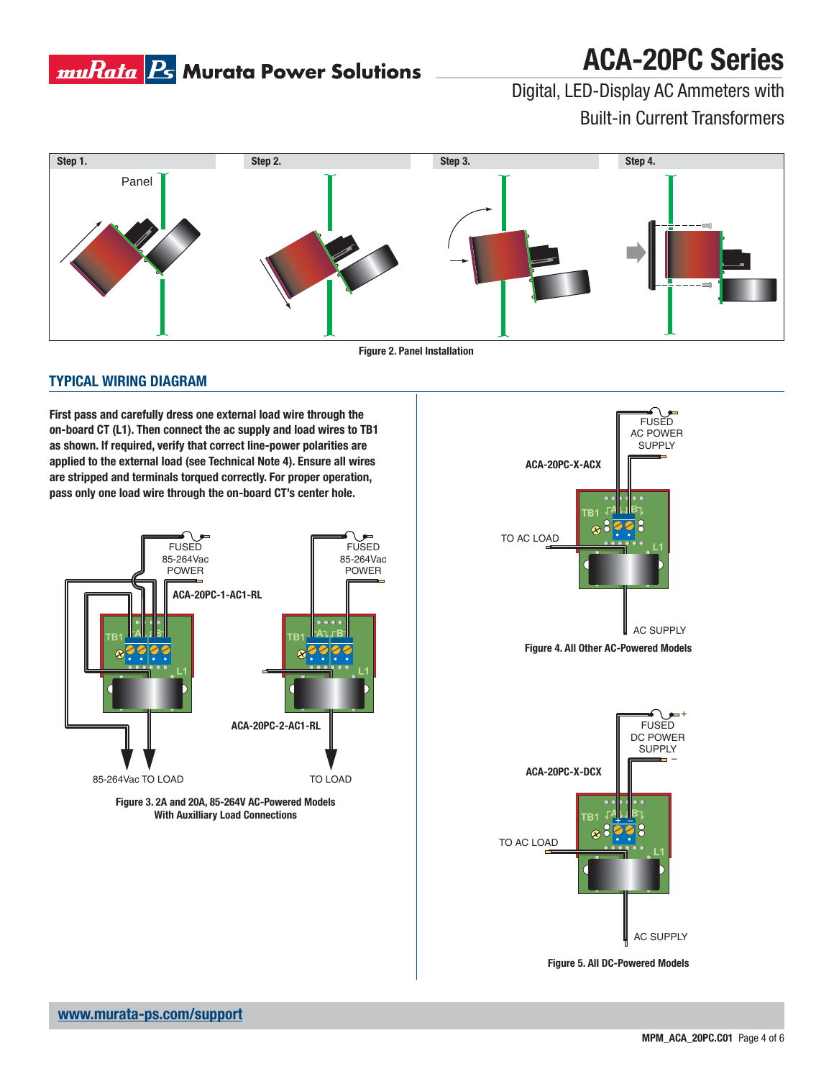

# **ACA-20PC Series**

Digital, LED-Display AC Ammeters with Built-in Current Transformers



**Figure 2. Panel Installation**

## **TYPICAL WIRING DIAGRAM**

**First pass and carefully dress one external load wire through the on-board CT (L1). Then connect the ac supply and load wires to TB1 as shown. If required, verify that correct line-power polarities are applied to the external load (see Technical Note 4). Ensure all wires are stripped and terminals torqued correctly. For proper operation, pass only one load wire through the on-board CT's center hole.**







**Figure 5. All DC-Powered Models**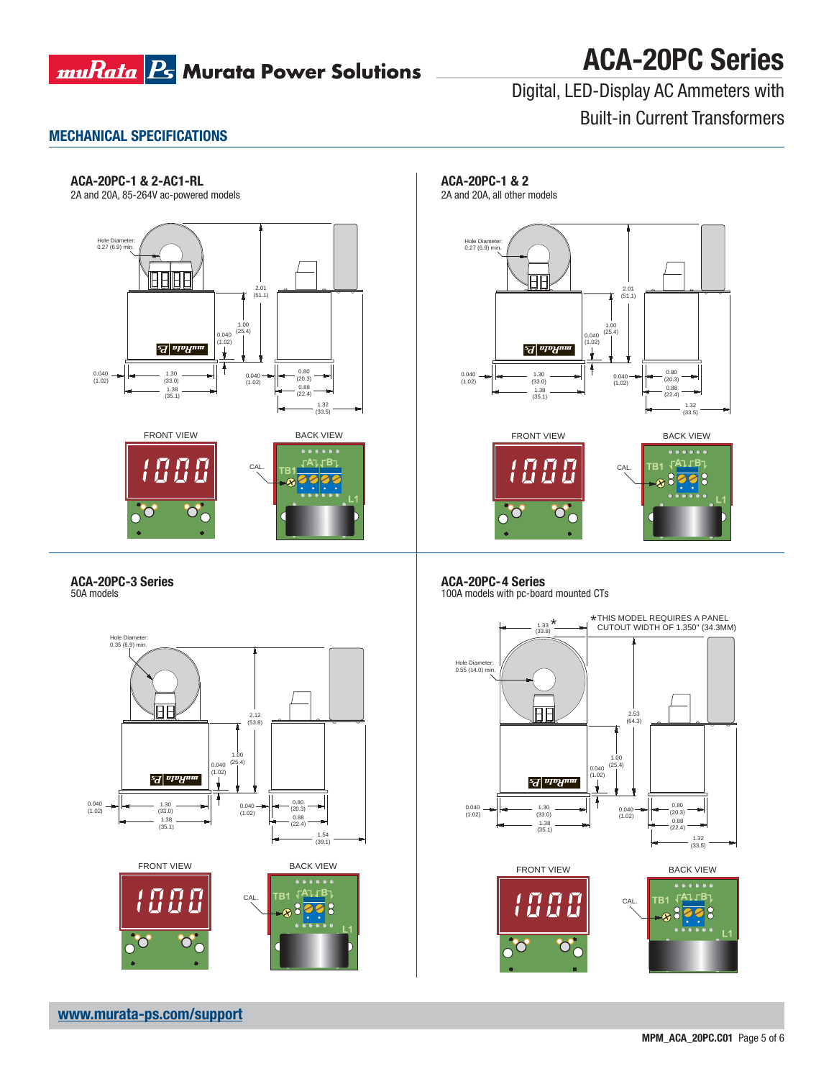

# **ACA-20PC Series**

Digital, LED-Display AC Ammeters with Built-in Current Transformers

## **MECHANICAL SPECIFICATIONS**

### **ACA-20PC-1 & 2-AC1-RL**

2A and 20A, 85-264V ac-powered models



## **ACA-20PC-3 Series**





**ACA-20PC-1 & 2**

2A and 20A, all other models



**ACA-20PC-4 Series** 100A models with pc-board mounted CTs



◠